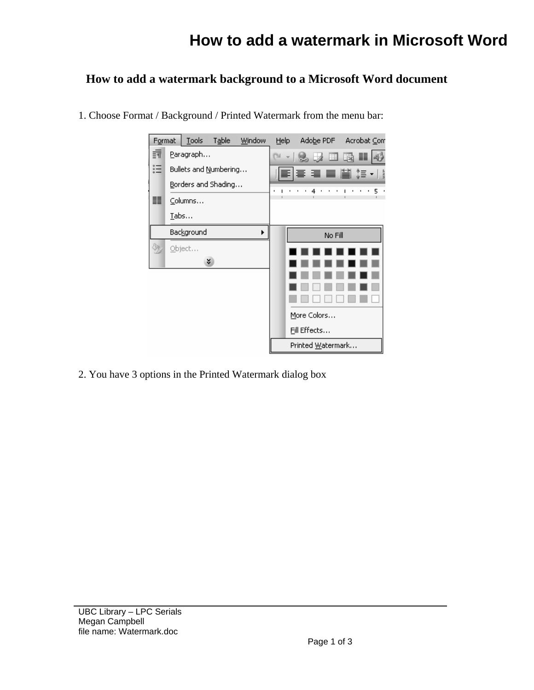## **How to add a watermark in Microsoft Word**

## **How to add a watermark background to a Microsoft Word document**



1. Choose Format / Background / Printed Watermark from the menu bar:

2. You have 3 options in the Printed Watermark dialog box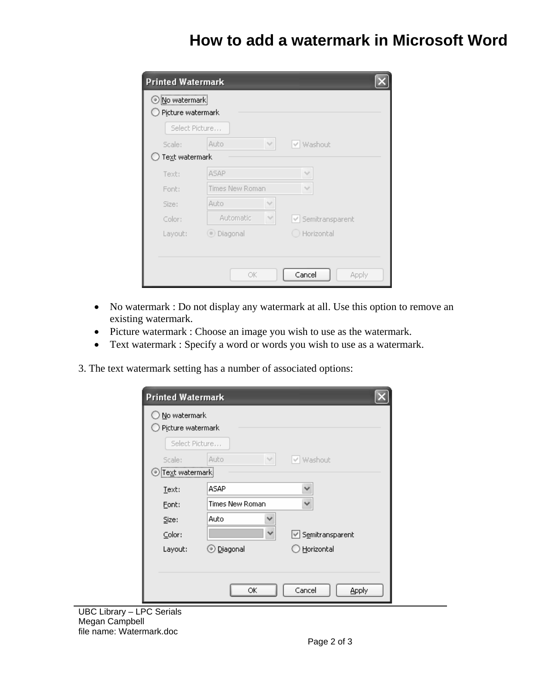## **How to add a watermark in Microsoft Word**

| <b>Printed Watermark</b>              |                     |                   |
|---------------------------------------|---------------------|-------------------|
| ⊙ No watermark<br>) Picture watermark |                     |                   |
| Select Picture                        |                     |                   |
| Scale:                                | Ÿ.<br>Auto          | √ Washout         |
| Text watermark                        |                     |                   |
| Text:                                 | <b>ASAP</b>         |                   |
| Font:                                 | Times New Roman     |                   |
| Size:                                 | <b>Auto</b><br>v    |                   |
| Color:                                | Automatic<br>$\sim$ | √ Semitransparent |
| Layout:                               | ⊙ Diagonal          | ◯ Horizontal      |
|                                       |                     |                   |
|                                       |                     |                   |
|                                       | ОK                  | Cancel<br>Apply   |

- No watermark : Do not display any watermark at all. Use this option to remove an existing watermark.
- Picture watermark : Choose an image you wish to use as the watermark.
- Text watermark : Specify a word or words you wish to use as a watermark.

3. The text watermark setting has a number of associated options:

| Picture watermark |                    |                   |
|-------------------|--------------------|-------------------|
|                   | Select Picture     |                   |
| Scale:            | Auto<br>$\sim$     | √ Washout         |
| Text watermark    |                    |                   |
| Text:             | ASAP               | v                 |
| Eont:             | Times New Roman    | v                 |
| Size:             | Auto               |                   |
| Color:            | $\checkmark$       | ☑ Semitransparent |
| Layout:           | ⊙ <u>D</u> iagonal | Horizontal        |
|                   |                    |                   |

UBC Library – LPC Serials Megan Campbell file name: Watermark.doc